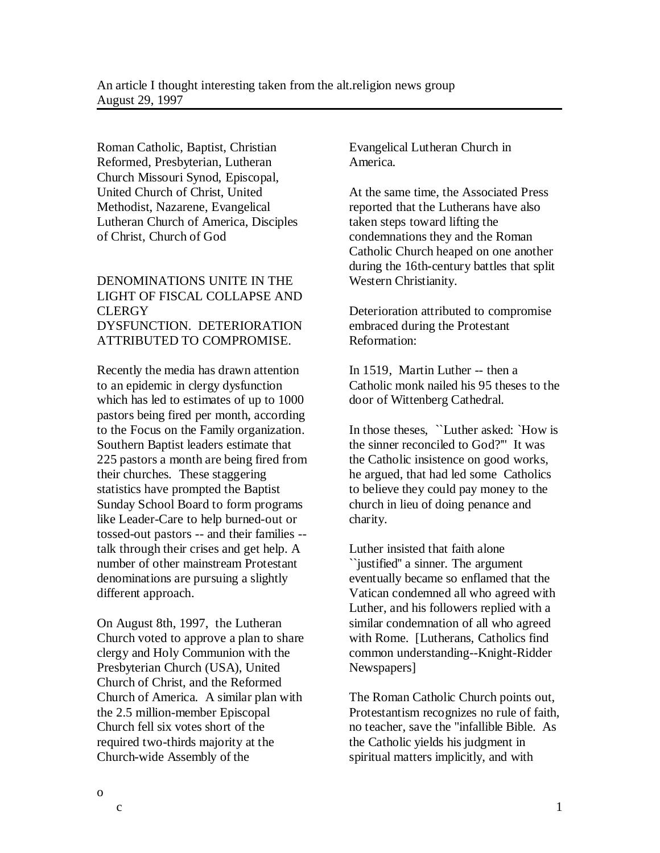Roman Catholic, Baptist, Christian Reformed, Presbyterian, Lutheran Church Missouri Synod, Episcopal, United Church of Christ, United Methodist, Nazarene, Evangelical Lutheran Church of America, Disciples of Christ, Church of God

## DENOMINATIONS UNITE IN THE LIGHT OF FISCAL COLLAPSE AND **CLERGY** DYSFUNCTION. DETERIORATION ATTRIBUTED TO COMPROMISE.

Recently the media has drawn attention to an epidemic in clergy dysfunction which has led to estimates of up to 1000 pastors being fired per month, according to the Focus on the Family organization. Southern Baptist leaders estimate that 225 pastors a month are being fired from their churches. These staggering statistics have prompted the Baptist Sunday School Board to form programs like Leader-Care to help burned-out or tossed-out pastors -- and their families - talk through their crises and get help. A number of other mainstream Protestant denominations are pursuing a slightly different approach.

On August 8th, 1997, the Lutheran Church voted to approve a plan to share clergy and Holy Communion with the Presbyterian Church (USA), United Church of Christ, and the Reformed Church of America. A similar plan with the 2.5 million-member Episcopal Church fell six votes short of the required two-thirds majority at the Church-wide Assembly of the

Evangelical Lutheran Church in America.

At the same time, the Associated Press reported that the Lutherans have also taken steps toward lifting the condemnations they and the Roman Catholic Church heaped on one another during the 16th-century battles that split Western Christianity.

Deterioration attributed to compromise embraced during the Protestant Reformation:

In 1519, Martin Luther -- then a Catholic monk nailed his 95 theses to the door of Wittenberg Cathedral.

In those theses, ``Luther asked: `How is the sinner reconciled to God?''' It was the Catholic insistence on good works, he argued, that had led some Catholics to believe they could pay money to the church in lieu of doing penance and charity.

Luther insisted that faith alone ``justified'' a sinner. The argument eventually became so enflamed that the Vatican condemned all who agreed with Luther, and his followers replied with a similar condemnation of all who agreed with Rome. [Lutherans, Catholics find common understanding--Knight-Ridder Newspapers]

The Roman Catholic Church points out, Protestantism recognizes no rule of faith, no teacher, save the "infallible Bible. As the Catholic yields his judgment in spiritual matters implicitly, and with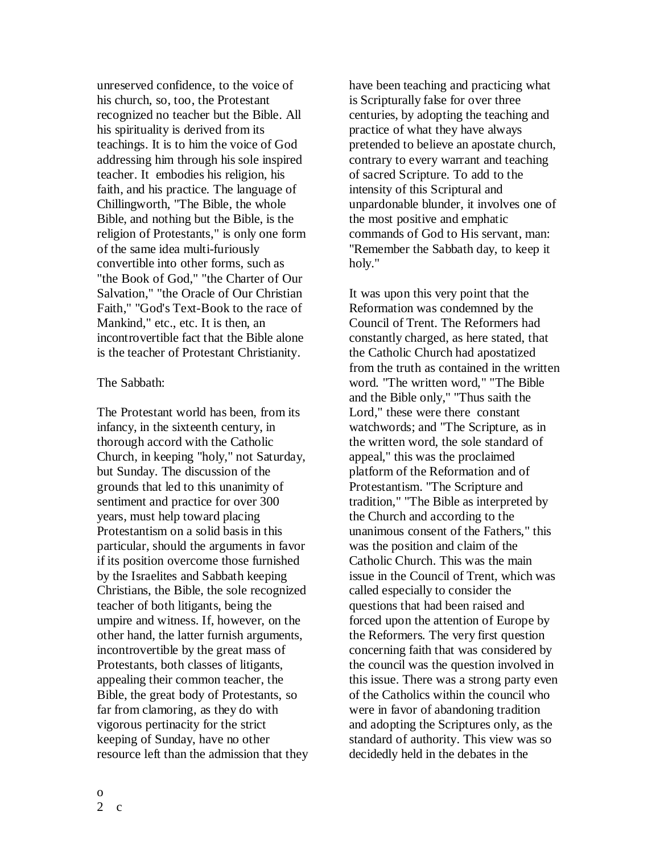unreserved confidence, to the voice of his church, so, too, the Protestant recognized no teacher but the Bible. All his spirituality is derived from its teachings. It is to him the voice of God addressing him through his sole inspired teacher. It embodies his religion, his faith, and his practice. The language of Chillingworth, "The Bible, the whole Bible, and nothing but the Bible, is the religion of Protestants," is only one form of the same idea multi-furiously convertible into other forms, such as "the Book of God," "the Charter of Our Salvation," "the Oracle of Our Christian Faith," "God's Text-Book to the race of Mankind," etc., etc. It is then, an incontrovertible fact that the Bible alone is the teacher of Protestant Christianity.

## The Sabbath:

The Protestant world has been, from its infancy, in the sixteenth century, in thorough accord with the Catholic Church, in keeping "holy," not Saturday, but Sunday. The discussion of the grounds that led to this unanimity of sentiment and practice for over 300 years, must help toward placing Protestantism on a solid basis in this particular, should the arguments in favor if its position overcome those furnished by the Israelites and Sabbath keeping Christians, the Bible, the sole recognized teacher of both litigants, being the umpire and witness. If, however, on the other hand, the latter furnish arguments, incontrovertible by the great mass of Protestants, both classes of litigants, appealing their common teacher, the Bible, the great body of Protestants, so far from clamoring, as they do with vigorous pertinacity for the strict keeping of Sunday, have no other resource left than the admission that they have been teaching and practicing what is Scripturally false for over three centuries, by adopting the teaching and practice of what they have always pretended to believe an apostate church, contrary to every warrant and teaching of sacred Scripture. To add to the intensity of this Scriptural and unpardonable blunder, it involves one of the most positive and emphatic commands of God to His servant, man: "Remember the Sabbath day, to keep it holy."

It was upon this very point that the Reformation was condemned by the Council of Trent. The Reformers had constantly charged, as here stated, that the Catholic Church had apostatized from the truth as contained in the written word. "The written word," "The Bible and the Bible only," "Thus saith the Lord," these were there constant watchwords; and "The Scripture, as in the written word, the sole standard of appeal," this was the proclaimed platform of the Reformation and of Protestantism. "The Scripture and tradition," "The Bible as interpreted by the Church and according to the unanimous consent of the Fathers," this was the position and claim of the Catholic Church. This was the main issue in the Council of Trent, which was called especially to consider the questions that had been raised and forced upon the attention of Europe by the Reformers. The very first question concerning faith that was considered by the council was the question involved in this issue. There was a strong party even of the Catholics within the council who were in favor of abandoning tradition and adopting the Scriptures only, as the standard of authority. This view was so decidedly held in the debates in the